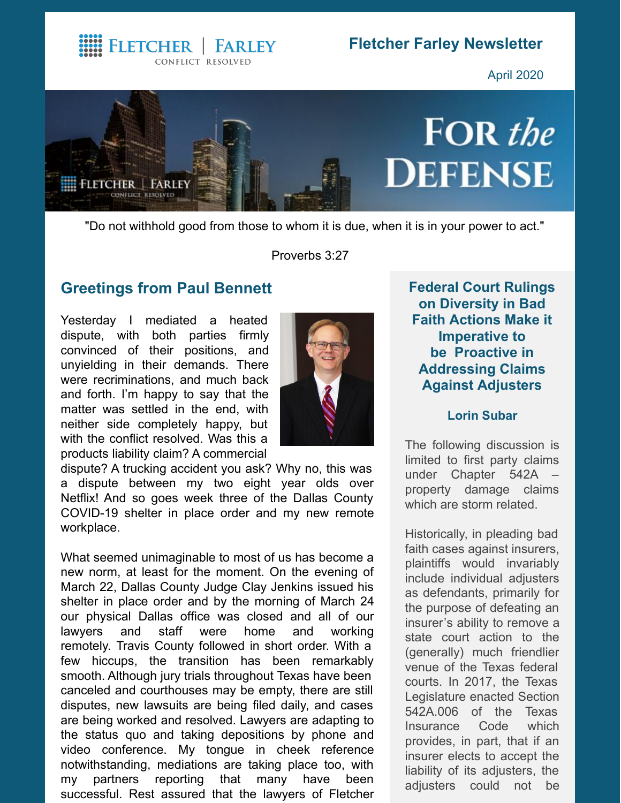**WE FLETCHER | FARLEY** CONFLICT RESOLVED

# **Fletcher Farley Newsletter**

April 2020



"Do not withhold good from those to whom it is due, when it is in your power to act."

Proverbs 3:27

### **Greetings from Paul [Bennett](http://www.fletcherfarley.com/attorneys-paul-bennett)**

Yesterday I mediated a heated dispute, with both parties firmly convinced of their positions, and unyielding in their demands. There were recriminations, and much back and forth. I'm happy to say that the matter was settled in the end, with neither side completely happy, but with the conflict resolved. Was this a products liability claim? A commercial



dispute? A trucking accident you ask? Why no, this was a dispute between my two eight year olds over Netflix! And so goes week three of the Dallas County COVID-19 shelter in place order and my new remote workplace.

What seemed unimaginable to most of us has become a new norm, at least for the moment. On the evening of March 22, Dallas County Judge Clay Jenkins issued his shelter in place order and by the morning of March 24 our physical Dallas office was closed and all of our lawyers and staff were home and working remotely. Travis County followed in short order. With a few hiccups, the transition has been remarkably smooth. Although jury trials throughout Texas have been canceled and courthouses may be empty, there are still disputes, new lawsuits are being filed daily, and cases are being worked and resolved. Lawyers are adapting to the status quo and taking depositions by phone and video conference. My tongue in cheek reference notwithstanding, mediations are taking place too, with my partners reporting that many have been successful. Rest assured that the lawyers of Fletcher

**Federal Court Rulings on Diversity in Bad Faith Actions Make it Imperative to be Proactive in Addressing Claims Against Adjusters**

#### **Lorin [Subar](http://www.fletcherfarley.com/attorneys-lorin-subar)**

The following discussion is limited to first party claims under Chapter 542A – property damage claims which are storm related.

Historically, in pleading bad faith cases against insurers, plaintiffs would invariably include individual adjusters as defendants, primarily for the purpose of defeating an insurer's ability to remove a state court action to the (generally) much friendlier venue of the Texas federal courts. In 2017, the Texas Legislature enacted Section 542A.006 of the Texas Insurance Code which provides, in part, that if an insurer elects to accept the liability of its adjusters, the adjusters could not be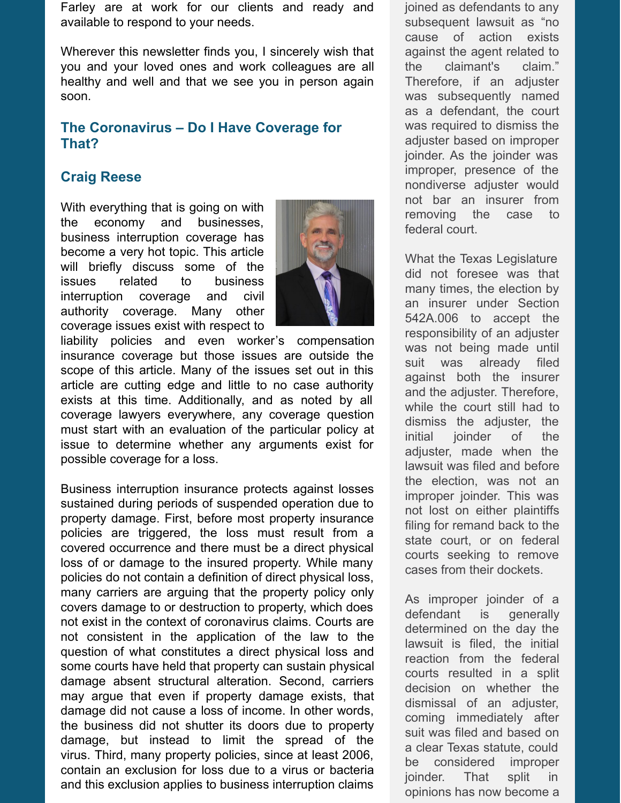Farley are at work for our clients and ready and available to respond to your needs.

Wherever this newsletter finds you, I sincerely wish that you and your loved ones and work colleagues are all healthy and well and that we see you in person again soon.

#### **The Coronavirus – Do I Have Coverage for That?**

## **Craig [Reese](http://www.fletcherfarley.com/attorneys-craig-reese)**

With everything that is going on with the economy and businesses, business interruption coverage has become a very hot topic. This article will briefly discuss some of the issues related to business interruption coverage and civil authority coverage. Many other coverage issues exist with respect to



liability policies and even worker's compensation insurance coverage but those issues are outside the scope of this article. Many of the issues set out in this article are cutting edge and little to no case authority exists at this time. Additionally, and as noted by all coverage lawyers everywhere, any coverage question must start with an evaluation of the particular policy at issue to determine whether any arguments exist for possible coverage for a loss.

Business interruption insurance protects against losses sustained during periods of suspended operation due to property damage. First, before most property insurance policies are triggered, the loss must result from a covered occurrence and there must be a direct physical loss of or damage to the insured property. While many policies do not contain a definition of direct physical loss, many carriers are arguing that the property policy only covers damage to or destruction to property, which does not exist in the context of coronavirus claims. Courts are not consistent in the application of the law to the question of what constitutes a direct physical loss and some courts have held that property can sustain physical damage absent structural alteration. Second, carriers may argue that even if property damage exists, that damage did not cause a loss of income. In other words, the business did not shutter its doors due to property damage, but instead to limit the spread of the virus. Third, many property policies, since at least 2006, contain an exclusion for loss due to a virus or bacteria and this exclusion applies to business interruption claims

joined as defendants to any subsequent lawsuit as "no cause of action exists against the agent related to the claimant's claim." Therefore, if an adjuster was subsequently named as a defendant, the court was required to dismiss the adjuster based on improper joinder. As the joinder was improper, presence of the nondiverse adjuster would not bar an insurer from removing the case to federal court.

What the Texas Legislature did not foresee was that many times, the election by an insurer under Section 542A.006 to accept the responsibility of an adjuster was not being made until suit was already filed against both the insurer and the adjuster. Therefore, while the court still had to dismiss the adjuster, the initial joinder of the adjuster, made when the lawsuit was filed and before the election, was not an improper joinder. This was not lost on either plaintiffs filing for remand back to the state court, or on federal courts seeking to remove cases from their dockets.

As improper joinder of a defendant is generally determined on the day the lawsuit is filed, the initial reaction from the federal courts resulted in a split decision on whether the dismissal of an adjuster, coming immediately after suit was filed and based on a clear Texas statute, could be considered improper joinder. That split in opinions has now become a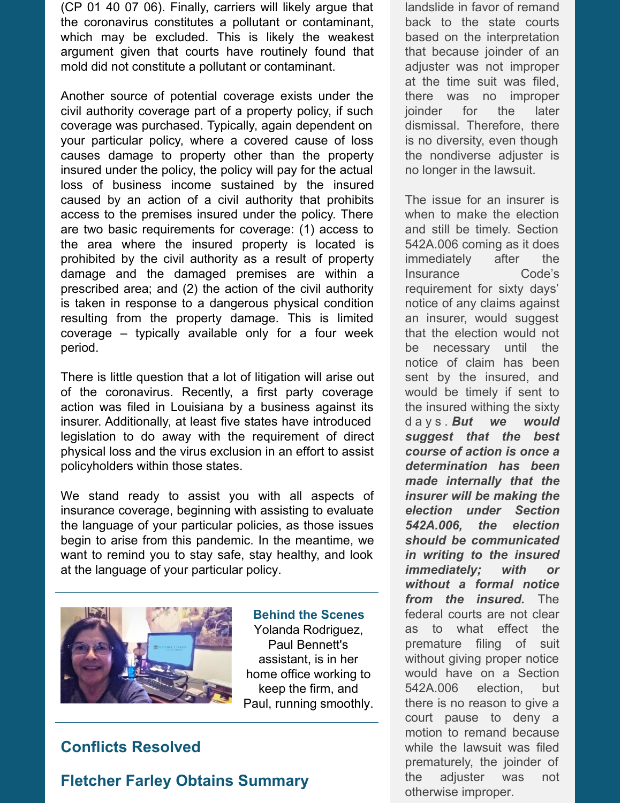(CP 01 40 07 06). Finally, carriers will likely argue that the coronavirus constitutes a pollutant or contaminant, which may be excluded. This is likely the weakest argument given that courts have routinely found that mold did not constitute a pollutant or contaminant.

Another source of potential coverage exists under the civil authority coverage part of a property policy, if such coverage was purchased. Typically, again dependent on your particular policy, where a covered cause of loss causes damage to property other than the property insured under the policy, the policy will pay for the actual loss of business income sustained by the insured caused by an action of a civil authority that prohibits access to the premises insured under the policy. There are two basic requirements for coverage: (1) access to the area where the insured property is located is prohibited by the civil authority as a result of property damage and the damaged premises are within a prescribed area; and (2) the action of the civil authority is taken in response to a dangerous physical condition resulting from the property damage. This is limited coverage – typically available only for a four week period.

There is little question that a lot of litigation will arise out of the coronavirus. Recently, a first party coverage action was filed in Louisiana by a business against its insurer. Additionally, at least five states have introduced legislation to do away with the requirement of direct physical loss and the virus exclusion in an effort to assist policyholders within those states.

We stand ready to assist you with all aspects of insurance coverage, beginning with assisting to evaluate the language of your particular policies, as those issues begin to arise from this pandemic. In the meantime, we want to remind you to stay safe, stay healthy, and look at the language of your particular policy.



**Behind the Scenes** Yolanda Rodriguez, Paul Bennett's assistant, is in her home office working to keep the firm, and Paul, running smoothly.

## **Conflicts Resolved**

## **Fletcher Farley Obtains Summary**

landslide in favor of remand back to the state courts based on the interpretation that because joinder of an adjuster was not improper at the time suit was filed, there was no improper joinder for the later dismissal. Therefore, there is no diversity, even though the nondiverse adjuster is no longer in the lawsuit.

The issue for an insurer is when to make the election and still be timely. Section 542A.006 coming as it does immediately after the Insurance Code's requirement for sixty days' notice of any claims against an insurer, would suggest that the election would not be necessary until the notice of claim has been sent by the insured, and would be timely if sent to the insured withing the sixty d a y s . *But we would suggest that the best course of action is once a determination has been made internally that the insurer will be making the election under Section 542A.006, the election should be communicated in writing to the insured immediately; with or without a formal notice from the insured.* The federal courts are not clear as to what effect the premature filing of suit without giving proper notice would have on a Section 542A.006 election, but there is no reason to give a court pause to deny a motion to remand because while the lawsuit was filed prematurely, the joinder of the adjuster was not otherwise improper.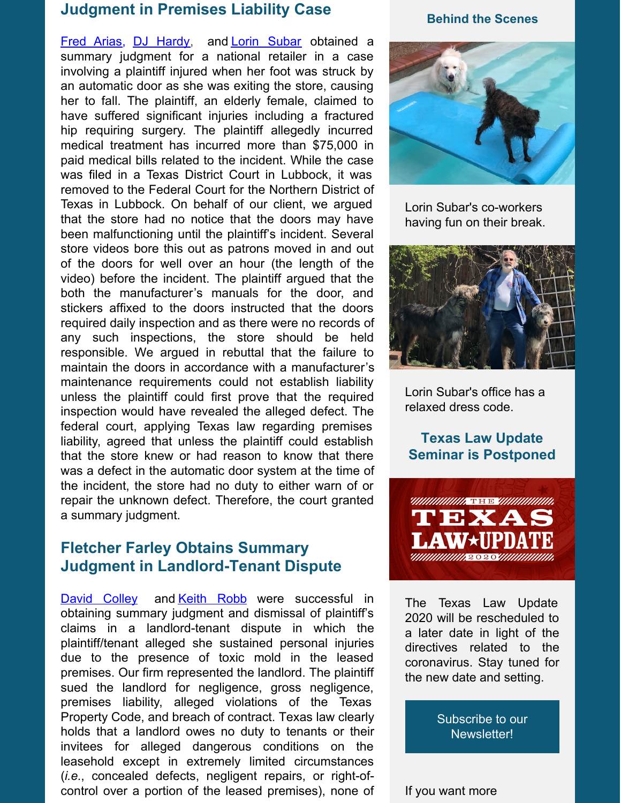## **Judgment in Premises Liability Case**

Fred [Arias](http://www.fletcherfarley.com/attorneys-fernando-arias), DJ [Hardy](http://www.fletcherfarley.com/attorneys-mark-dj-hardy), and Lorin [Subar](http://www.fletcherfarley.com/attorneys-lorin-subar) obtained a summary judgment for a national retailer in a case involving a plaintiff injured when her foot was struck by an automatic door as she was exiting the store, causing her to fall. The plaintiff, an elderly female, claimed to have suffered significant injuries including a fractured hip requiring surgery. The plaintiff allegedly incurred medical treatment has incurred more than \$75,000 in paid medical bills related to the incident. While the case was filed in a Texas District Court in Lubbock, it was removed to the Federal Court for the Northern District of Texas in Lubbock. On behalf of our client, we argued that the store had no notice that the doors may have been malfunctioning until the plaintiff's incident. Several store videos bore this out as patrons moved in and out of the doors for well over an hour (the length of the video) before the incident. The plaintiff argued that the both the manufacturer's manuals for the door, and stickers affixed to the doors instructed that the doors required daily inspection and as there were no records of any such inspections, the store should be held responsible. We argued in rebuttal that the failure to maintain the doors in accordance with a manufacturer's maintenance requirements could not establish liability unless the plaintiff could first prove that the required inspection would have revealed the alleged defect. The federal court, applying Texas law regarding premises liability, agreed that unless the plaintiff could establish that the store knew or had reason to know that there was a defect in the automatic door system at the time of the incident, the store had no duty to either warn of or repair the unknown defect. Therefore, the court granted a summary judgment.

# **Fletcher Farley Obtains Summary Judgment in Landlord-Tenant Dispute**

David [Colley](http://www.fletcherfarley.com/attorneys-david-colley) and [Keith](http://www.fletcherfarley.com/attorneys-keith-robb) Robb were successful in obtaining summary judgment and dismissal of plaintiff's claims in a landlord-tenant dispute in which the plaintiff/tenant alleged she sustained personal injuries due to the presence of toxic mold in the leased premises. Our firm represented the landlord. The plaintiff sued the landlord for negligence, gross negligence, premises liability, alleged violations of the Texas Property Code, and breach of contract. Texas law clearly holds that a landlord owes no duty to tenants or their invitees for alleged dangerous conditions on the leasehold except in extremely limited circumstances (*i.e.*, concealed defects, negligent repairs, or right-ofcontrol over a portion of the leased premises), none of

#### **Behind the Scenes**



Lorin Subar's co-workers having fun on their break.



Lorin Subar's office has a relaxed dress code.

#### **Texas Law Update Seminar is Postponed**



The Texas Law Update 2020 will be rescheduled to a later date in light of the directives related to the coronavirus. Stay tuned for the new date and setting.

> Subscribe to our [Newsletter!](https://visitor.r20.constantcontact.com/manage/optin?v=001ReNyPK_Ooy-N1IczvfISY0JqHfO07kqs)

If you want more